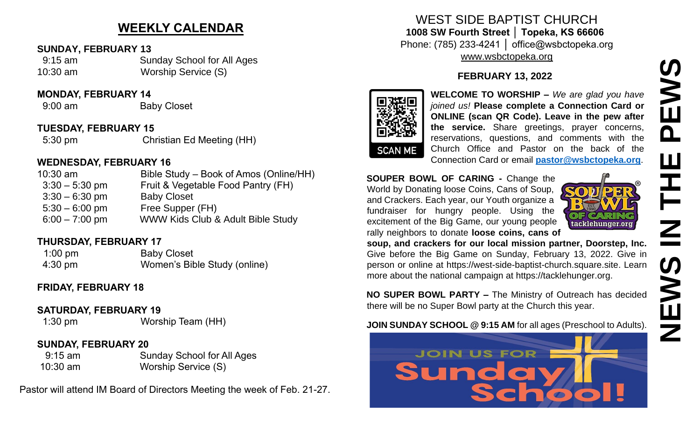# **WEEKLY CALENDAR**

#### **SUNDAY, FEBRUARY 13**

 9:15 am Sunday School for All Ages 10:30 am Worship Service (S)

#### **MONDAY, FEBRUARY 14**

9:00 am Baby Closet

#### **TUESDAY, FEBRUARY 15**

5:30 pm Christian Ed Meeting (HH)

#### **WEDNESDAY, FEBRUARY 16**

| Bible Study – Book of Amos (Online/HH)<br>$10:30$ am   |  |
|--------------------------------------------------------|--|
| Fruit & Vegetable Food Pantry (FH)<br>$3:30 - 5:30$ pm |  |
| <b>Baby Closet</b><br>$3:30 - 6:30$ pm                 |  |
| Free Supper (FH)<br>$5:30 - 6:00$ pm                   |  |
| WWW Kids Club & Adult Bible Study<br>$6:00 - 7:00$ pm  |  |

### **THURSDAY, FEBRUARY 17**

1:00 pm Baby Closet 4:30 pm Women's Bible Study (online)

## **FRIDAY, FEBRUARY 18**

#### **SATURDAY, FEBRUARY 19**

1:30 pm Worship Team (HH)

## **SUNDAY, FEBRUARY 20**

 9:15 am Sunday School for All Ages 10:30 am Worship Service (S)

Pastor will attend IM Board of Directors Meeting the week of Feb. 21-27.

# WEST SIDE BAPTIST CHURCH **1008 SW Fourth Street │ Topeka, KS 66606** Phone: (785) 233-4241 │ office@wsbctopeka.org

[www.wsbctopeka.org](http://www.wsbctopeka.org/)

# **FEBRUARY 13, 2022**



**WELCOME TO WORSHIP –** *We are glad you have joined us!* **Please complete a Connection Card or ONLINE (scan QR Code). Leave in the pew after the service.** Share greetings, prayer concerns, reservations, questions, and comments with the Church Office and Pastor on the back of the Connection Card or email **[pastor@wsbctopeka.org](mailto:pastor@wsbctopeka.org)**.

#### **SOUPER BOWL OF CARING -** Change the World by Donating loose Coins, Cans of Soup, and Crackers. Each year, our Youth organize a fundraiser for hungry people. Using the excitement of the Big Game, our young people rally neighbors to donate **loose coins, cans of**



**soup, and crackers for our local mission partner, Doorstep, Inc.** Give before the Big Game on Sunday, February 13, 2022. Give in person or online at https://west-side-baptist-church.square.site. Learn more about the national campaign at https://tacklehunger.org.

**NO SUPER BOWL PARTY –** The Ministry of Outreach has decided there will be no Super Bowl party at the Church this year.

#### **JOIN SUNDAY SCHOOL @ 9:15 AM** for all ages (Preschool to Adults).